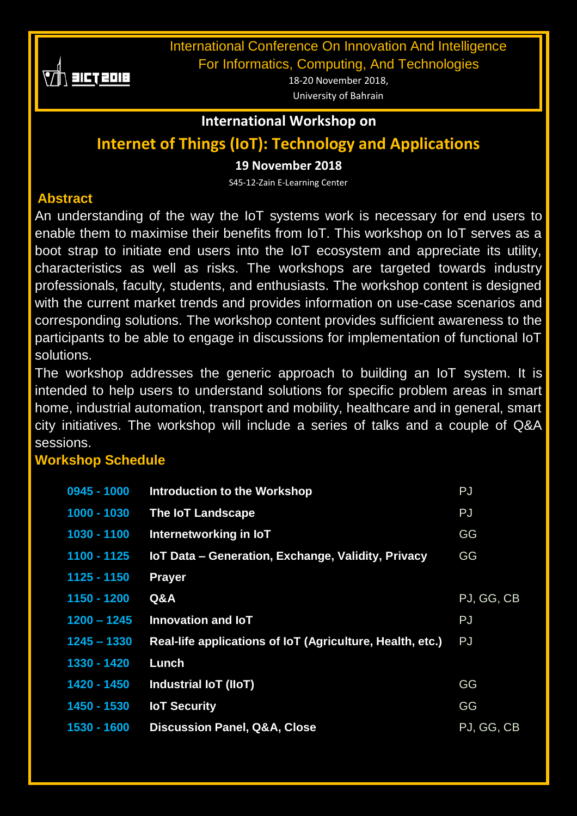

International Conference On Innovation And Intelligence

For Informatics, Computing, And Technologies

18-20 November 2018, University of Bahrain

### **International Workshop on**

# **Internet of Things (IoT): Technology and Applications**

### **19 November 2018**

S45-12-Zain E-Learning Center

## **Abstract**

An understanding of the way the IoT systems work is necessary for end users to enable them to maximise their benefits from IoT. This workshop on IoT serves as a boot strap to initiate end users into the IoT ecosystem and appreciate its utility, characteristics as well as risks. The workshops are targeted towards industry professionals, faculty, students, and enthusiasts. The workshop content is designed with the current market trends and provides information on use-case scenarios and corresponding solutions. The workshop content provides sufficient awareness to the participants to be able to engage in discussions for implementation of functional IoT solutions.

The workshop addresses the generic approach to building an IoT system. It is intended to help users to understand solutions for specific problem areas in smart home, industrial automation, transport and mobility, healthcare and in general, smart city initiatives. The workshop will include a series of talks and a couple of Q&A sessions.

## **Workshop Schedule**

| $0945 - 1000$ | <b>Introduction to the Workshop</b>                       | <b>PJ</b>  |
|---------------|-----------------------------------------------------------|------------|
| 1000 - 1030   | <b>The IoT Landscape</b>                                  | PJ         |
| 1030 - 1100   | Internetworking in IoT                                    | GG         |
| 1100 - 1125   | IoT Data - Generation, Exchange, Validity, Privacy        | GG         |
| 1125 - 1150   | <b>Prayer</b>                                             |            |
| 1150 - 1200   | Q&A                                                       | PJ, GG, CB |
| $1200 - 1245$ | Innovation and IoT                                        | PJ         |
| $1245 - 1330$ | Real-life applications of IoT (Agriculture, Health, etc.) | PJ         |
| 1330 - 1420   | Lunch                                                     |            |
| 1420 - 1450   | <b>Industrial IoT (IIoT)</b>                              | GG         |
| 1450 - 1530   | <b>IoT Security</b>                                       | GG         |
| 1530 - 1600   | <b>Discussion Panel, Q&amp;A, Close</b>                   | PJ, GG, CB |